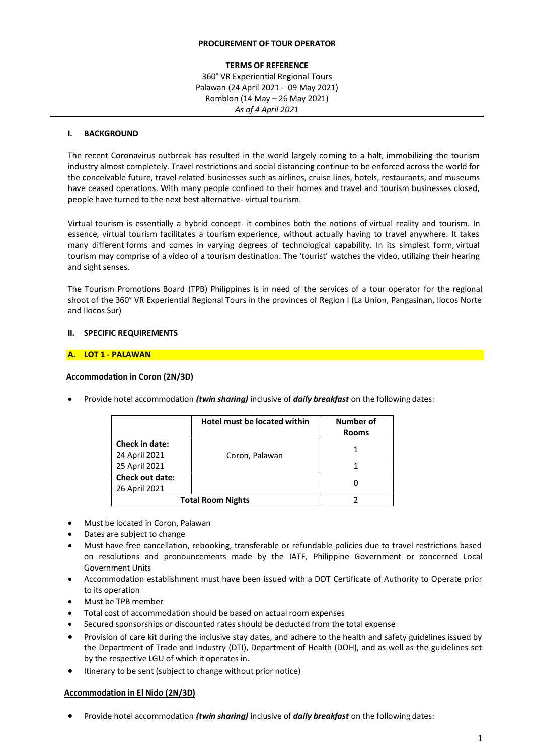### **PROCUREMENT OF TOUR OPERATOR**

## **TERMS OF REFERENCE** 360° VR Experiential Regional Tours Palawan (24 April 2021 - 09 May 2021) Romblon (14 May – 26 May 2021) *As of 4 April 2021*

### **I. BACKGROUND**

The recent Coronavirus outbreak has resulted in the world largely coming to a halt, immobilizing the tourism industry almost completely. Travel restrictions and social distancing continue to be enforced across the world for the conceivable future, travel-related businesses such as airlines, cruise lines, hotels, restaurants, and museums have ceased operations. With many people confined to their homes and travel and tourism businesses closed, people have turned to the next best alternative- virtual tourism.

Virtual tourism is essentially a hybrid concept- it combines both the notions of virtual reality and tourism. In essence, virtual tourism facilitates a tourism experience, without actually having to travel anywhere. It takes many different forms and comes in varying degrees of technological capability. In its simplest form, virtual tourism may comprise of a video of a tourism destination. The 'tourist' watches the video, utilizing their hearing and sight senses.

The Tourism Promotions Board (TPB) Philippines is in need of the services of a tour operator for the regional shoot of the 360° VR Experiential Regional Tours in the provinces of Region I (La Union, Pangasinan, Ilocos Norte and Ilocos Sur)

#### **II. SPECIFIC REQUIREMENTS**

#### **A. LOT 1 - PALAWAN**

#### **Accommodation in Coron (2N/3D)**

|                                         | Hotel must be located within | Number of<br><b>Rooms</b> |
|-----------------------------------------|------------------------------|---------------------------|
| Check in date:<br>24 April 2021         | Coron, Palawan               |                           |
| 25 April 2021                           |                              |                           |
| <b>Check out date:</b><br>26 April 2021 |                              | O                         |
| <b>Total Room Nights</b>                |                              |                           |

Provide hotel accommodation *(twin sharing)* inclusive of *daily breakfast* on the following dates:

- Must be located in Coron, Palawan
- Dates are subject to change
- Must have free cancellation, rebooking, transferable or refundable policies due to travel restrictions based on resolutions and pronouncements made by the IATF, Philippine Government or concerned Local Government Units
- Accommodation establishment must have been issued with a DOT Certificate of Authority to Operate prior to its operation
- Must be TPB member
- Total cost of accommodation should be based on actual room expenses
- Secured sponsorships or discounted rates should be deducted from the total expense
- Provision of care kit during the inclusive stay dates, and adhere to the health and safety guidelines issued by the Department of Trade and Industry (DTI), Department of Health (DOH), and as well as the guidelines set by the respective LGU of which it operates in.
- $\bullet$  Itinerary to be sent (subject to change without prior notice)

# **Accommodation in El Nido (2N/3D)**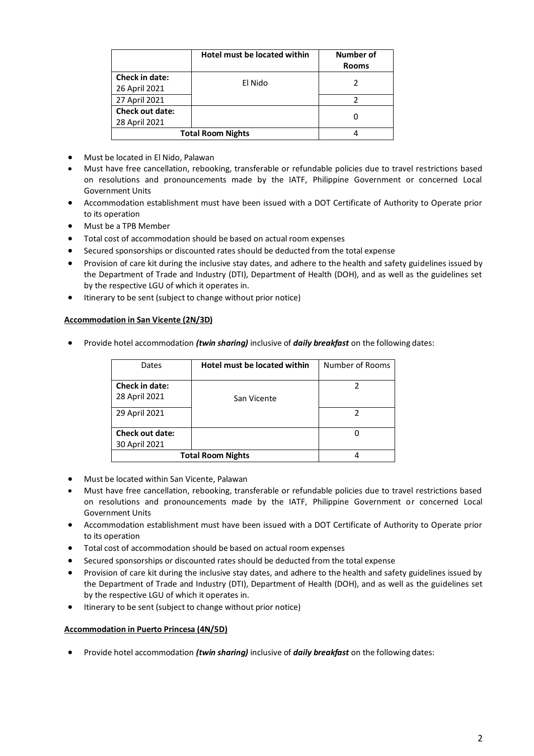|                          | Hotel must be located within | Number of<br><b>Rooms</b> |
|--------------------------|------------------------------|---------------------------|
| Check in date:           | El Nido                      |                           |
| 26 April 2021            |                              |                           |
| 27 April 2021            |                              |                           |
| <b>Check out date:</b>   |                              |                           |
| 28 April 2021            |                              |                           |
| <b>Total Room Nights</b> |                              |                           |

- Must be located in El Nido, Palawan
- Must have free cancellation, rebooking, transferable or refundable policies due to travel restrictions based on resolutions and pronouncements made by the IATF, Philippine Government or concerned Local Government Units
- Accommodation establishment must have been issued with a DOT Certificate of Authority to Operate prior to its operation
- Must be a TPB Member
- Total cost of accommodation should be based on actual room expenses
- Secured sponsorships or discounted rates should be deducted from the total expense
- Provision of care kit during the inclusive stay dates, and adhere to the health and safety guidelines issued by the Department of Trade and Industry (DTI), Department of Health (DOH), and as well as the guidelines set by the respective LGU of which it operates in.
- $\bullet$  Itinerary to be sent (subject to change without prior notice)

## **Accommodation in San Vicente (2N/3D)**

Provide hotel accommodation *(twin sharing)* inclusive of *daily breakfast* on the following dates:

| Dates                    | Hotel must be located within | Number of Rooms |
|--------------------------|------------------------------|-----------------|
| Check in date:           |                              |                 |
| 28 April 2021            | San Vicente                  |                 |
| 29 April 2021            |                              | 2               |
|                          |                              |                 |
| <b>Check out date:</b>   |                              | 0               |
| 30 April 2021            |                              |                 |
| <b>Total Room Nights</b> |                              |                 |

- Must be located within San Vicente, Palawan
- Must have free cancellation, rebooking, transferable or refundable policies due to travel restrictions based on resolutions and pronouncements made by the IATF, Philippine Government or concerned Local Government Units
- Accommodation establishment must have been issued with a DOT Certificate of Authority to Operate prior to its operation
- Total cost of accommodation should be based on actual room expenses
- Secured sponsorships or discounted rates should be deducted from the total expense
- Provision of care kit during the inclusive stay dates, and adhere to the health and safety guidelines issued by the Department of Trade and Industry (DTI), Department of Health (DOH), and as well as the guidelines set by the respective LGU of which it operates in.
- $\bullet$  Itinerary to be sent (subject to change without prior notice)

### **Accommodation in Puerto Princesa (4N/5D)**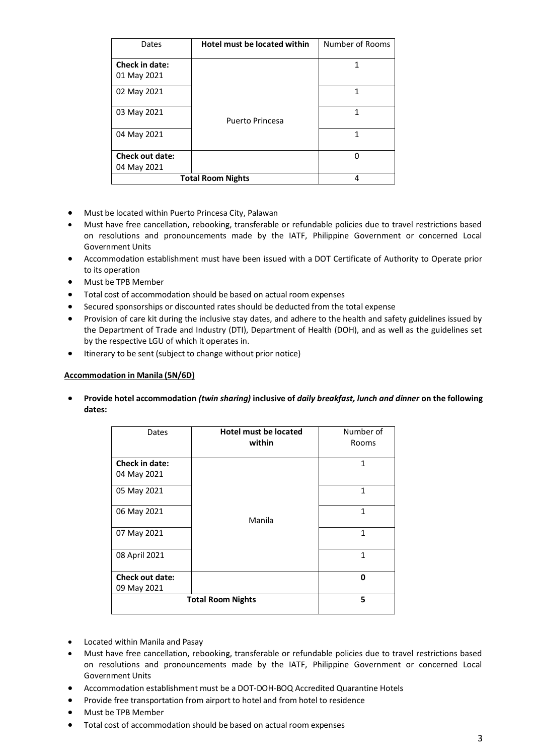| Dates                    | Hotel must be located within | Number of Rooms |
|--------------------------|------------------------------|-----------------|
| <b>Check in date:</b>    |                              | 1               |
| 01 May 2021              |                              |                 |
| 02 May 2021              |                              | 1               |
| 03 May 2021              | <b>Puerto Princesa</b>       | 1               |
| 04 May 2021              |                              | 1               |
| <b>Check out date:</b>   |                              | 0               |
| 04 May 2021              |                              |                 |
| <b>Total Room Nights</b> |                              | 4               |

- Must be located within Puerto Princesa City, Palawan
- Must have free cancellation, rebooking, transferable or refundable policies due to travel restrictions based on resolutions and pronouncements made by the IATF, Philippine Government or concerned Local Government Units
- Accommodation establishment must have been issued with a DOT Certificate of Authority to Operate prior to its operation
- Must be TPB Member
- Total cost of accommodation should be based on actual room expenses
- Secured sponsorships or discounted rates should be deducted from the total expense
- Provision of care kit during the inclusive stay dates, and adhere to the health and safety guidelines issued by the Department of Trade and Industry (DTI), Department of Health (DOH), and as well as the guidelines set by the respective LGU of which it operates in.
- $\bullet$  Itinerary to be sent (subject to change without prior notice)

### **Accommodation in Manila (5N/6D)**

| Dates                    | <b>Hotel must be located</b><br>within | Number of<br>Rooms |
|--------------------------|----------------------------------------|--------------------|
| Check in date:           |                                        | 1                  |
| 04 May 2021              |                                        |                    |
| 05 May 2021              |                                        | $\mathbf{1}$       |
| 06 May 2021              | Manila                                 | $\mathbf{1}$       |
| 07 May 2021              |                                        | 1                  |
| 08 April 2021            |                                        | 1                  |
| <b>Check out date:</b>   |                                        | 0                  |
| 09 May 2021              |                                        |                    |
| <b>Total Room Nights</b> |                                        | 5                  |

- Located within Manila and Pasay
- Must have free cancellation, rebooking, transferable or refundable policies due to travel restrictions based on resolutions and pronouncements made by the IATF, Philippine Government or concerned Local Government Units
- Accommodation establishment must be a DOT-DOH-BOQ Accredited Quarantine Hotels
- Provide free transportation from airport to hotel and from hotel to residence
- Must be TPB Member
- Total cost of accommodation should be based on actual room expenses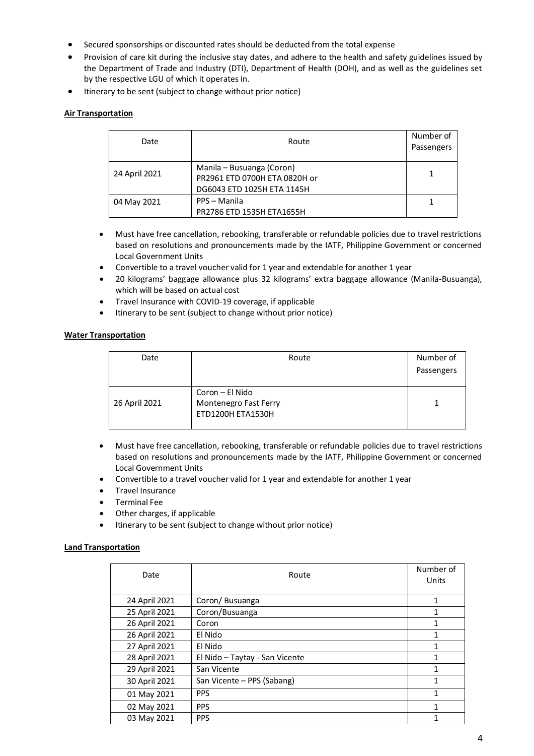- Secured sponsorships or discounted rates should be deducted from the total expense
- Provision of care kit during the inclusive stay dates, and adhere to the health and safety guidelines issued by the Department of Trade and Industry (DTI), Department of Health (DOH), and as well as the guidelines set by the respective LGU of which it operates in.
- $\bullet$  Itinerary to be sent (subject to change without prior notice)

## **Air Transportation**

| Date          | Route                                                                                    | Number of<br>Passengers |
|---------------|------------------------------------------------------------------------------------------|-------------------------|
| 24 April 2021 | Manila – Busuanga (Coron)<br>PR2961 ETD 0700H ETA 0820H or<br>DG6043 ETD 1025H ETA 1145H | 1                       |
| 04 May 2021   | PPS - Manila<br>PR2786 ETD 1535H ETA1655H                                                |                         |

- Must have free cancellation, rebooking, transferable or refundable policies due to travel restrictions based on resolutions and pronouncements made by the IATF, Philippine Government or concerned Local Government Units
- Convertible to a travel voucher valid for 1 year and extendable for another 1 year
- 20 kilograms' baggage allowance plus 32 kilograms' extra baggage allowance (Manila-Busuanga), which will be based on actual cost
- Travel Insurance with COVID-19 coverage, if applicable
- Itinerary to be sent (subject to change without prior notice)

## **Water Transportation**

| Date          | Route                 | Number of  |
|---------------|-----------------------|------------|
|               |                       | Passengers |
|               |                       |            |
|               | Coron – El Nido       |            |
| 26 April 2021 | Montenegro Fast Ferry |            |
|               | ETD1200H ETA1530H     |            |
|               |                       |            |

- Must have free cancellation, rebooking, transferable or refundable policies due to travel restrictions based on resolutions and pronouncements made by the IATF, Philippine Government or concerned Local Government Units
- Convertible to a travel voucher valid for 1 year and extendable for another 1 year
- **•** Travel Insurance
- Terminal Fee
- Other charges, if applicable
- $\bullet$  Itinerary to be sent (subject to change without prior notice)

## **Land Transportation**

| Date          | Route                          | Number of<br>Units |
|---------------|--------------------------------|--------------------|
| 24 April 2021 | Coron/Busuanga                 | 1                  |
| 25 April 2021 | Coron/Busuanga                 | 1                  |
| 26 April 2021 | Coron                          | 1                  |
| 26 April 2021 | El Nido                        | 1                  |
| 27 April 2021 | El Nido                        | 1                  |
| 28 April 2021 | El Nido - Taytay - San Vicente | 1                  |
| 29 April 2021 | San Vicente                    | 1                  |
| 30 April 2021 | San Vicente - PPS (Sabang)     | 1                  |
| 01 May 2021   | <b>PPS</b>                     | 1                  |
| 02 May 2021   | <b>PPS</b>                     | 1                  |
| 03 May 2021   | <b>PPS</b>                     | 1                  |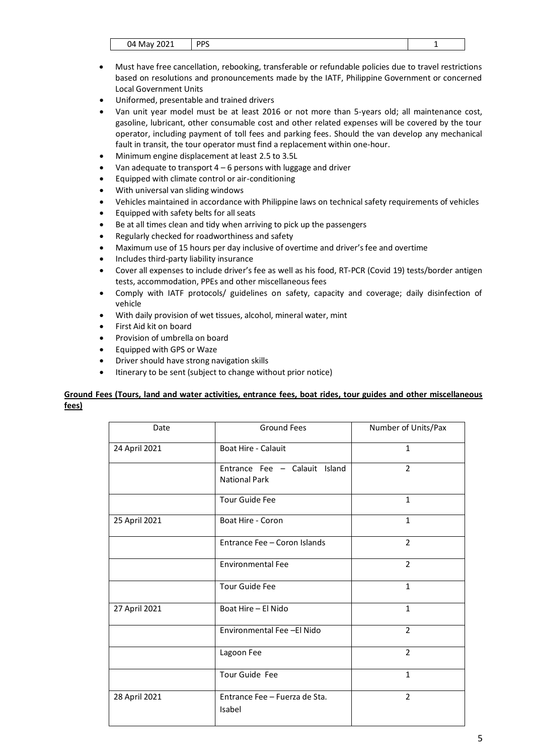| <b>DDC</b> | 14<br>N.<br>.<br>$v + iv + v$<br>$-0-1$ |
|------------|-----------------------------------------|
|------------|-----------------------------------------|

- Must have free cancellation, rebooking, transferable or refundable policies due to travel restrictions based on resolutions and pronouncements made by the IATF, Philippine Government or concerned Local Government Units
- Uniformed, presentable and trained drivers
- Van unit year model must be at least 2016 or not more than 5-years old; all maintenance cost, gasoline, lubricant, other consumable cost and other related expenses will be covered by the tour operator, including payment of toll fees and parking fees. Should the van develop any mechanical fault in transit, the tour operator must find a replacement within one-hour.
- Minimum engine displacement at least 2.5 to 3.5L
- Van adequate to transport  $4 6$  persons with luggage and driver
- Equipped with climate control or air-conditioning
- With universal van sliding windows
- Vehicles maintained in accordance with Philippine laws on technical safety requirements of vehicles
- Equipped with safety belts for all seats
- Be at all times clean and tidy when arriving to pick up the passengers
- Regularly checked for roadworthiness and safety
- Maximum use of 15 hours per day inclusive of overtime and driver's fee and overtime
- Includes third-party liability insurance
- Cover all expenses to include driver's fee as well as his food, RT-PCR (Covid 19) tests/border antigen tests, accommodation, PPEs and other miscellaneous fees
- Comply with IATF protocols/ guidelines on safety, capacity and coverage; daily disinfection of vehicle
- With daily provision of wet tissues, alcohol, mineral water, mint
- First Aid kit on board
- Provision of umbrella on board
- Equipped with GPS or Waze
- Driver should have strong navigation skills
- Itinerary to be sent (subject to change without prior notice)

# **Ground Fees (Tours, land and water activities, entrance fees, boat rides, tour guides and other miscellaneous fees)**

| Date          | <b>Ground Fees</b>                                    | Number of Units/Pax |
|---------------|-------------------------------------------------------|---------------------|
| 24 April 2021 | Boat Hire - Calauit                                   | 1                   |
|               | Entrance Fee - Calauit Island<br><b>National Park</b> | $\overline{2}$      |
|               | Tour Guide Fee                                        | $\mathbf{1}$        |
| 25 April 2021 | Boat Hire - Coron                                     | $\mathbf{1}$        |
|               | Entrance Fee - Coron Islands                          | $\overline{2}$      |
|               | <b>Environmental Fee</b>                              | 2                   |
|               | <b>Tour Guide Fee</b>                                 | $\mathbf{1}$        |
| 27 April 2021 | Boat Hire - El Nido                                   | $\mathbf{1}$        |
|               | Environmental Fee -El Nido                            | $\overline{2}$      |
|               | Lagoon Fee                                            | $\mathcal{P}$       |
|               | Tour Guide Fee                                        | $\mathbf{1}$        |
| 28 April 2021 | Entrance Fee - Fuerza de Sta.<br>Isabel               | $\overline{2}$      |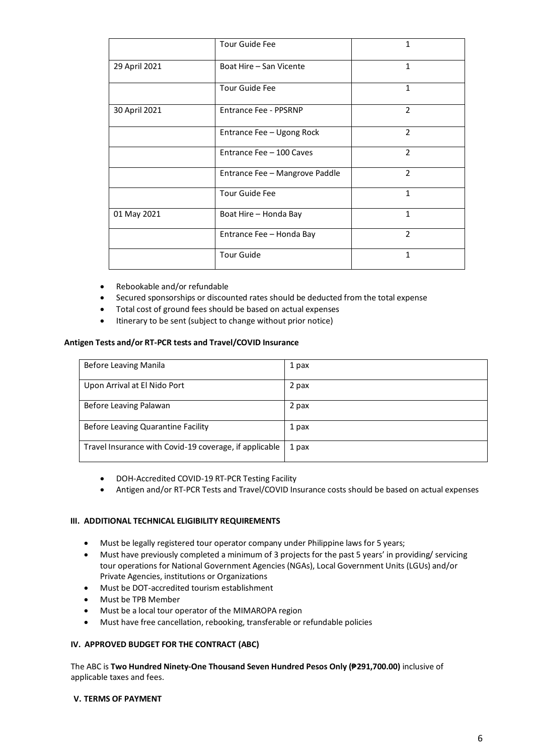|               | Tour Guide Fee                 | 1              |
|---------------|--------------------------------|----------------|
| 29 April 2021 | Boat Hire - San Vicente        | 1              |
|               | <b>Tour Guide Fee</b>          | 1              |
| 30 April 2021 | <b>Entrance Fee - PPSRNP</b>   | $\overline{2}$ |
|               | Entrance Fee - Ugong Rock      | $\overline{2}$ |
|               | Entrance Fee - 100 Caves       | $\mathcal{P}$  |
|               | Entrance Fee - Mangrove Paddle | $\overline{2}$ |
|               | <b>Tour Guide Fee</b>          | 1              |
| 01 May 2021   | Boat Hire - Honda Bay          | 1              |
|               | Entrance Fee - Honda Bay       | $\overline{2}$ |
|               | <b>Tour Guide</b>              | 1              |

- Rebookable and/or refundable
- Secured sponsorships or discounted rates should be deducted from the total expense
- Total cost of ground fees should be based on actual expenses
- Itinerary to be sent (subject to change without prior notice)

## **Antigen Tests and/or RT-PCR tests and Travel/COVID Insurance**

| Before Leaving Manila                                  | 1 pax |
|--------------------------------------------------------|-------|
| Upon Arrival at El Nido Port                           | 2 pax |
| Before Leaving Palawan                                 | 2 pax |
| Before Leaving Quarantine Facility                     | 1 pax |
| Travel Insurance with Covid-19 coverage, if applicable | 1 pax |

- DOH-Accredited COVID-19 RT-PCR Testing Facility
- Antigen and/or RT-PCR Tests and Travel/COVID Insurance costs should be based on actual expenses

### **III. ADDITIONAL TECHNICAL ELIGIBILITY REQUIREMENTS**

- Must be legally registered tour operator company under Philippine laws for 5 years;
- Must have previously completed a minimum of 3 projects for the past 5 years' in providing/ servicing tour operations for National Government Agencies (NGAs), Local Government Units (LGUs) and/or Private Agencies, institutions or Organizations
- Must be DOT-accredited tourism establishment
- Must be TPB Member
- Must be a local tour operator of the MIMAROPA region
- Must have free cancellation, rebooking, transferable or refundable policies

### **IV. APPROVED BUDGET FOR THE CONTRACT (ABC)**

The ABC is **Two Hundred Ninety-One Thousand Seven Hundred Pesos Only (₱291,700.00)** inclusive of applicable taxes and fees.

#### **V. TERMS OF PAYMENT**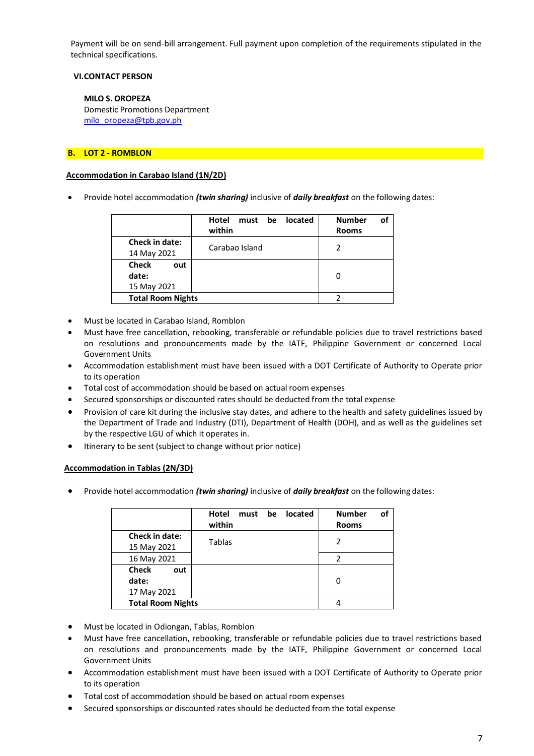Payment will be on send-bill arrangement. Full payment upon completion of the requirements stipulated in the technical specifications.

### **VI.CONTACT PERSON**

#### **MILO S. OROPEZA**

Domestic Promotions Department [milo\\_oropeza@tpb.gov.ph](mailto:milo_oropeza@tpb.gov.ph)

### **B. LOT 2 - ROMBLON**

#### **Accommodation in Carabao Island (1N/2D)**

Provide hotel accommodation *(twin sharing)* inclusive of *daily breakfast* on the following dates:

|                          | Hotel<br>located<br>must<br>be<br>within | οf<br><b>Number</b><br><b>Rooms</b> |
|--------------------------|------------------------------------------|-------------------------------------|
| <b>Check in date:</b>    | Carabao Island                           | $\mathcal{P}$                       |
| 14 May 2021              |                                          |                                     |
| <b>Check</b><br>out      |                                          |                                     |
| date:                    |                                          | 0                                   |
| 15 May 2021              |                                          |                                     |
| <b>Total Room Nights</b> |                                          |                                     |

- Must be located in Carabao Island, Romblon
- Must have free cancellation, rebooking, transferable or refundable policies due to travel restrictions based on resolutions and pronouncements made by the IATF, Philippine Government or concerned Local Government Units
- Accommodation establishment must have been issued with a DOT Certificate of Authority to Operate prior to its operation
- Total cost of accommodation should be based on actual room expenses
- Secured sponsorships or discounted rates should be deducted from the total expense
- Provision of care kit during the inclusive stay dates, and adhere to the health and safety guidelines issued by the Department of Trade and Industry (DTI), Department of Health (DOH), and as well as the guidelines set by the respective LGU of which it operates in.
- Itinerary to be sent (subject to change without prior notice)

### **Accommodation in Tablas (2N/3D)**

|                          | Hotel<br>be<br>must<br>within | of<br><b>Number</b><br>located<br><b>Rooms</b> |
|--------------------------|-------------------------------|------------------------------------------------|
| Check in date:           |                               | 2                                              |
| 15 May 2021              | Tablas                        |                                                |
| 16 May 2021              |                               | $\mathfrak{p}$                                 |
| Check<br>out             |                               |                                                |
| date:                    |                               | 0                                              |
| 17 May 2021              |                               |                                                |
| <b>Total Room Nights</b> |                               |                                                |

- Must be located in Odiongan, Tablas, Romblon
- Must have free cancellation, rebooking, transferable or refundable policies due to travel restrictions based on resolutions and pronouncements made by the IATF, Philippine Government or concerned Local Government Units
- Accommodation establishment must have been issued with a DOT Certificate of Authority to Operate prior to its operation
- Total cost of accommodation should be based on actual room expenses
- Secured sponsorships or discounted rates should be deducted from the total expense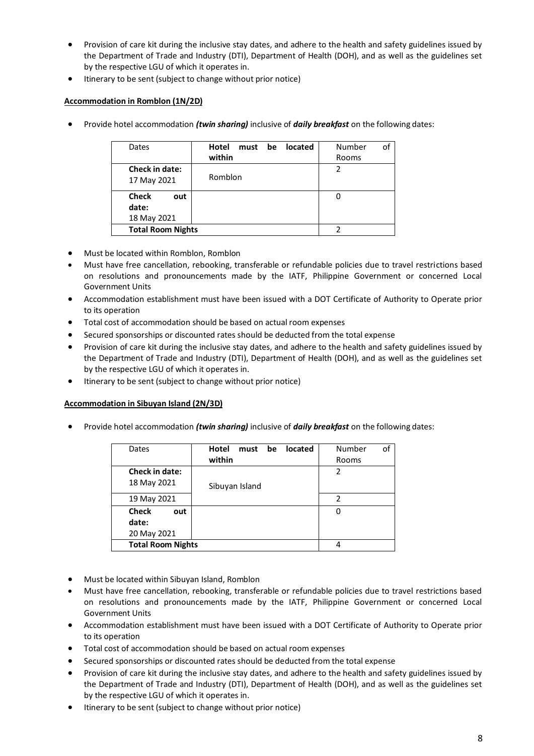- Provision of care kit during the inclusive stay dates, and adhere to the health and safety guidelines issued by the Department of Trade and Industry (DTI), Department of Health (DOH), and as well as the guidelines set by the respective LGU of which it operates in.
- Itinerary to be sent (subject to change without prior notice)

# **Accommodation in Romblon (1N/2D)**

Provide hotel accommodation *(twin sharing)* inclusive of *daily breakfast* on the following dates:

| Dates                                       | Hotel<br>be<br>located<br>must<br>within | οf<br>Number<br>Rooms |
|---------------------------------------------|------------------------------------------|-----------------------|
| <b>Check in date:</b><br>17 May 2021        | Romblon                                  | 2                     |
| <b>Check</b><br>out<br>date:<br>18 May 2021 |                                          | 0                     |
| <b>Total Room Nights</b>                    |                                          |                       |

- Must be located within Romblon, Romblon
- Must have free cancellation, rebooking, transferable or refundable policies due to travel restrictions based on resolutions and pronouncements made by the IATF, Philippine Government or concerned Local Government Units
- Accommodation establishment must have been issued with a DOT Certificate of Authority to Operate prior to its operation
- Total cost of accommodation should be based on actual room expenses
- Secured sponsorships or discounted rates should be deducted from the total expense
- Provision of care kit during the inclusive stay dates, and adhere to the health and safety guidelines issued by the Department of Trade and Industry (DTI), Department of Health (DOH), and as well as the guidelines set by the respective LGU of which it operates in.
- Itinerary to be sent (subject to change without prior notice)

## **Accommodation in Sibuyan Island (2N/3D)**

| Dates                    | Hotel<br>must be<br><b>located</b> | of<br>Number  |
|--------------------------|------------------------------------|---------------|
|                          | within                             | Rooms         |
| <b>Check in date:</b>    |                                    | 2             |
| 18 May 2021              | Sibuyan Island                     |               |
| 19 May 2021              |                                    | $\mathfrak z$ |
| <b>Check</b><br>out      |                                    | 0             |
| date:                    |                                    |               |
| 20 May 2021              |                                    |               |
| <b>Total Room Nights</b> |                                    |               |

- Must be located within Sibuyan Island, Romblon
- Must have free cancellation, rebooking, transferable or refundable policies due to travel restrictions based on resolutions and pronouncements made by the IATF, Philippine Government or concerned Local Government Units
- Accommodation establishment must have been issued with a DOT Certificate of Authority to Operate prior to its operation
- Total cost of accommodation should be based on actual room expenses
- Secured sponsorships or discounted rates should be deducted from the total expense
- Provision of care kit during the inclusive stay dates, and adhere to the health and safety guidelines issued by the Department of Trade and Industry (DTI), Department of Health (DOH), and as well as the guidelines set by the respective LGU of which it operates in.
- Itinerary to be sent (subject to change without prior notice)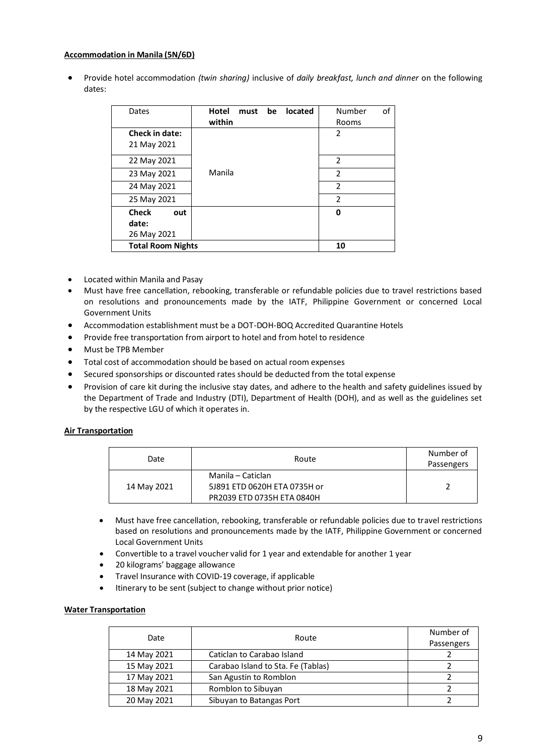### **Accommodation in Manila (5N/6D)**

 Provide hotel accommodation *(twin sharing)* inclusive of *daily breakfast, lunch and dinner* on the following dates:

| Dates                                       | Hotel<br>be<br>must<br>within | located | οf<br>Number<br>Rooms |
|---------------------------------------------|-------------------------------|---------|-----------------------|
| <b>Check in date:</b><br>21 May 2021        |                               |         | 2                     |
| 22 May 2021                                 |                               |         | $\mathfrak{p}$        |
| 23 May 2021                                 | Manila                        |         | $\overline{2}$        |
| 24 May 2021                                 |                               |         | $\mathcal{P}$         |
| 25 May 2021                                 |                               |         | $\overline{2}$        |
| <b>Check</b><br>out<br>date:<br>26 May 2021 |                               |         | O                     |
| <b>Total Room Nights</b>                    |                               |         | 10                    |

- Located within Manila and Pasay
- Must have free cancellation, rebooking, transferable or refundable policies due to travel restrictions based on resolutions and pronouncements made by the IATF, Philippine Government or concerned Local Government Units
- Accommodation establishment must be a DOT-DOH-BOQ Accredited Quarantine Hotels
- Provide free transportation from airport to hotel and from hotel to residence
- Must be TPB Member
- Total cost of accommodation should be based on actual room expenses
- Secured sponsorships or discounted rates should be deducted from the total expense
- Provision of care kit during the inclusive stay dates, and adhere to the health and safety guidelines issued by the Department of Trade and Industry (DTI), Department of Health (DOH), and as well as the guidelines set by the respective LGU of which it operates in.

## **Air Transportation**

| Date        | Route                                             | Number of<br>Passengers |
|-------------|---------------------------------------------------|-------------------------|
| 14 May 2021 | Manila – Caticlan<br>5J891 ETD 0620H ETA 0735H or |                         |
|             | PR2039 ETD 0735H ETA 0840H                        |                         |

- Must have free cancellation, rebooking, transferable or refundable policies due to travel restrictions based on resolutions and pronouncements made by the IATF, Philippine Government or concerned Local Government Units
- Convertible to a travel voucher valid for 1 year and extendable for another 1 year
- 20 kilograms' baggage allowance
- Travel Insurance with COVID-19 coverage, if applicable
- Itinerary to be sent (subject to change without prior notice)

### **Water Transportation**

| Date        | Route                              | Number of  |
|-------------|------------------------------------|------------|
|             |                                    | Passengers |
| 14 May 2021 | Caticlan to Carabao Island         |            |
| 15 May 2021 | Carabao Island to Sta. Fe (Tablas) |            |
| 17 May 2021 | San Agustin to Romblon             |            |
| 18 May 2021 | Romblon to Sibuyan                 |            |
| 20 May 2021 | Sibuyan to Batangas Port           |            |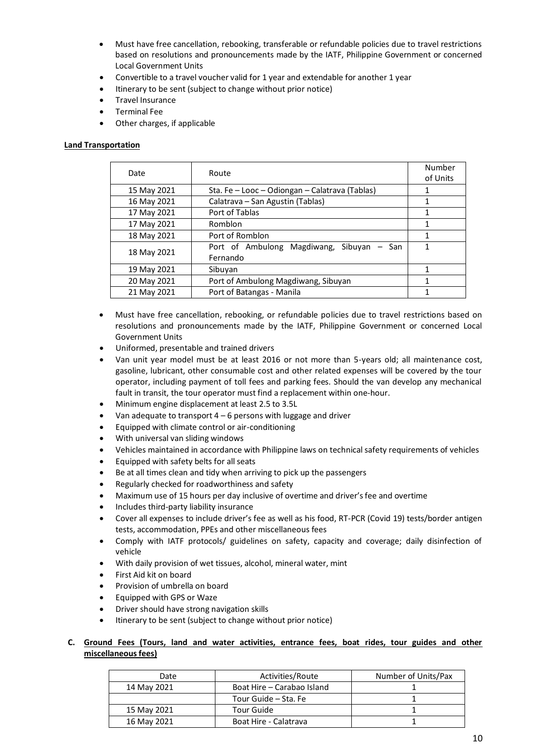- Must have free cancellation, rebooking, transferable or refundable policies due to travel restrictions based on resolutions and pronouncements made by the IATF, Philippine Government or concerned Local Government Units
- Convertible to a travel voucher valid for 1 year and extendable for another 1 year
- Itinerary to be sent (subject to change without prior notice)
- Travel Insurance
- Terminal Fee
- Other charges, if applicable

#### **Land Transportation**

| Date        | Route                                                 | Number<br>of Units |
|-------------|-------------------------------------------------------|--------------------|
| 15 May 2021 | Sta. Fe - Looc - Odiongan - Calatrava (Tablas)        |                    |
| 16 May 2021 | Calatrava - San Agustin (Tablas)                      | 1                  |
| 17 May 2021 | Port of Tablas                                        | 1                  |
| 17 May 2021 | Romblon                                               | 1                  |
| 18 May 2021 | Port of Romblon                                       | 1                  |
| 18 May 2021 | Port of Ambulong Magdiwang, Sibuyan – San<br>Fernando | 1                  |
| 19 May 2021 | Sibuyan                                               | 1                  |
| 20 May 2021 | Port of Ambulong Magdiwang, Sibuyan                   | 1                  |
| 21 May 2021 | Port of Batangas - Manila                             |                    |

- Must have free cancellation, rebooking, or refundable policies due to travel restrictions based on resolutions and pronouncements made by the IATF, Philippine Government or concerned Local Government Units
- Uniformed, presentable and trained drivers
- Van unit year model must be at least 2016 or not more than 5-years old; all maintenance cost, gasoline, lubricant, other consumable cost and other related expenses will be covered by the tour operator, including payment of toll fees and parking fees. Should the van develop any mechanical fault in transit, the tour operator must find a replacement within one-hour.
- Minimum engine displacement at least 2.5 to 3.5L
- Van adequate to transport  $4 6$  persons with luggage and driver
- Equipped with climate control or air-conditioning
- With universal van sliding windows
- Vehicles maintained in accordance with Philippine laws on technical safety requirements of vehicles
- Equipped with safety belts for all seats
- Be at all times clean and tidy when arriving to pick up the passengers
- Regularly checked for roadworthiness and safety
- Maximum use of 15 hours per day inclusive of overtime and driver's fee and overtime
- Includes third-party liability insurance
- Cover all expenses to include driver's fee as well as his food, RT-PCR (Covid 19) tests/border antigen tests, accommodation, PPEs and other miscellaneous fees
- Comply with IATF protocols/ guidelines on safety, capacity and coverage; daily disinfection of vehicle
- With daily provision of wet tissues, alcohol, mineral water, mint
- First Aid kit on board
- Provision of umbrella on board
- Equipped with GPS or Waze
- Driver should have strong navigation skills
- Itinerary to be sent (subject to change without prior notice)

## **C. Ground Fees (Tours, land and water activities, entrance fees, boat rides, tour guides and other miscellaneous fees)**

| Date        | Activities/Route           | Number of Units/Pax |
|-------------|----------------------------|---------------------|
| 14 May 2021 | Boat Hire - Carabao Island |                     |
|             | Tour Guide – Sta. Fe       |                     |
| 15 May 2021 | Tour Guide                 |                     |
| 16 May 2021 | Boat Hire - Calatrava      |                     |